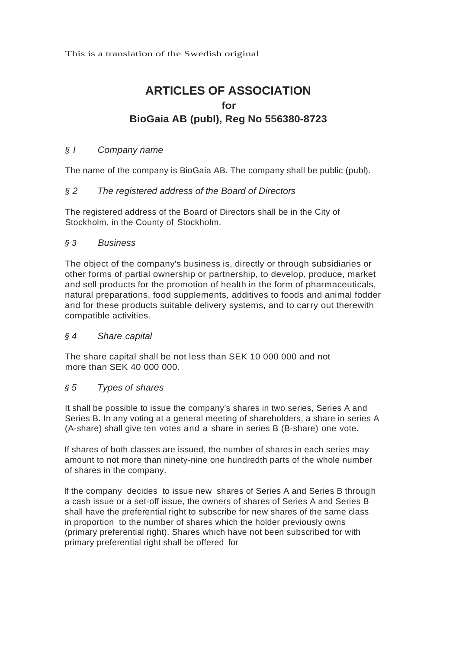This is a translation of the Swedish original

# **ARTICLES OF ASSOCIATION for BioGaia AB (publ), Reg No 556380-8723**

## *§ I Company name*

The name of the company is BioGaia AB. The company shall be public (publ).

## *§ 2 The registered address of the Board of Directors*

The registered address of the Board of Directors shall be in the City of Stockholm, in the County of Stockholm.

## *§ 3 Business*

The object of the company's business is, directly or through subsidiaries or other forms of partial ownership or partnership, to develop, produce, market and sell products for the promotion of health in the form of pharmaceuticals, natural preparations, food supplements, additives to foods and animal fodder and for these products suitable delivery systems, and to carry out therewith compatible activities.

## *§ 4 Share capital*

The share capital shall be not less than SEK 10 000 000 and not more than SEK 40 000 000.

## *§ 5 Types of shares*

It shall be possible to issue the company's shares in two series, Series A and Series B. In any voting at a general meeting of shareholders, a share in series A (A-share) shall give ten votes and a share in series B (B-share) one vote.

If shares of both classes are issued, the number of shares in each series may amount to not more than ninety-nine one hundredth parts of the whole number of shares in the company.

lf the company decides to issue new shares of Series A and Series B through a cash issue or a set-off issue, the owners of shares of Series A and Series B shall have the preferential right to subscribe for new shares of the same class in proportion to the number of shares which the holder previously owns (primary preferential right). Shares which have not been subscribed for with primary preferential right shall be offered for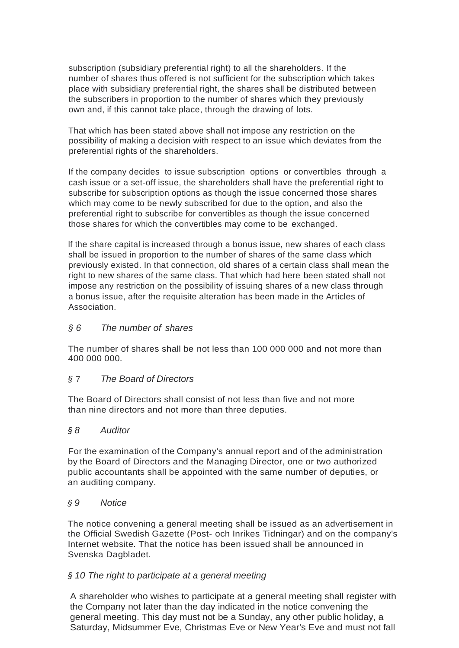subscription (subsidiary preferential right) to all the shareholders. If the number of shares thus offered is not sufficient for the subscription which takes place with subsidiary preferential right, the shares shall be distributed between the subscribers in proportion to the number of shares which they previously own and, if this cannot take place, through the drawing of lots.

That which has been stated above shall not impose any restriction on the possibility of making a decision with respect to an issue which deviates from the preferential rights of the shareholders.

If the company decides to issue subscription options or convertibles through a cash issue or a set-off issue, the shareholders shall have the preferential right to subscribe for subscription options as though the issue concerned those shares which may come to be newly subscribed for due to the option, and also the preferential right to subscribe for convertibles as though the issue concerned those shares for which the convertibles may come to be exchanged.

lf the share capital is increased through a bonus issue, new shares of each class shall be issued in proportion to the number of shares of the same class which previously existed. In that connection, old shares of a certain class shall mean the right to new shares of the same class. That which had here been stated shall not impose any restriction on the possibility of issuing shares of a new class through a bonus issue, after the requisite alteration has been made in the Articles of Association.

## *§ 6 The number of shares*

The number of shares shall be not less than 100 000 000 and not more than 400 000 000.

## *§* 7 *The Board of Directors*

The Board of Directors shall consist of not less than five and not more than nine directors and not more than three deputies.

## *§ 8 Auditor*

For the examination of the Company's annual report and of the administration by the Board of Directors and the Managing Director, one or two authorized public accountants shall be appointed with the same number of deputies, or an auditing company.

## *§ 9 Notice*

The notice convening a general meeting shall be issued as an advertisement in the Official Swedish Gazette (Post- och Inrikes Tidningar) and on the company's Internet website. That the notice has been issued shall be announced in Svenska Dagbladet.

## *§ 10 The right to participate at a general meeting*

A shareholder who wishes to participate at a general meeting shall register with the Company not later than the day indicated in the notice convening the general meeting. This day must not be a Sunday, any other public holiday, a Saturday, Midsummer Eve, Christmas Eve or New Year's Eve and must not fall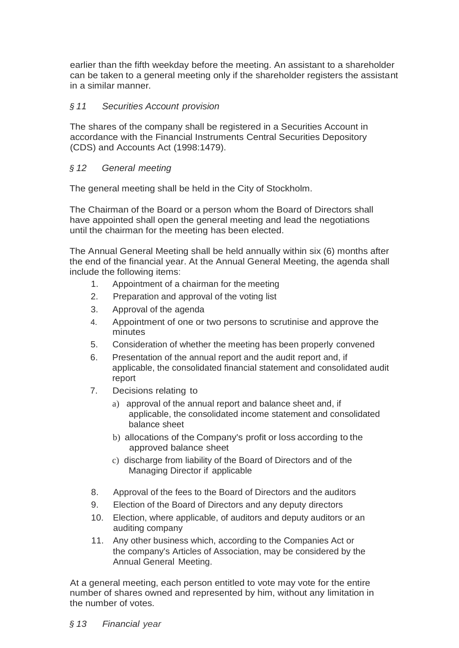earlier than the fifth weekday before the meeting. An assistant to a shareholder can be taken to a general meeting only if the shareholder registers the assistant in a similar manner.

# *§ 11 Securities Account provision*

The shares of the company shall be registered in a Securities Account in accordance with the Financial Instruments Central Securities Depository (CDS) and Accounts Act (1998:1479).

# *§ 12 General meeting*

The general meeting shall be held in the City of Stockholm.

The Chairman of the Board or a person whom the Board of Directors shall have appointed shall open the general meeting and lead the negotiations until the chairman for the meeting has been elected.

The Annual General Meeting shall be held annually within six (6) months after the end of the financial year. At the Annual General Meeting, the agenda shall include the following items:

- 1. Appointment of a chairman for the meeting
- 2. Preparation and approval of the voting list
- 3. Approval of the agenda
- 4. Appointment of one or two persons to scrutinise and approve the minutes
- 5. Consideration of whether the meeting has been properly convened
- 6. Presentation of the annual report and the audit report and, if applicable, the consolidated financial statement and consolidated audit report
- 7. Decisions relating to
	- a) approval of the annual report and balance sheet and, if applicable, the consolidated income statement and consolidated balance sheet
	- b) allocations of the Company's profit or loss according to the approved balance sheet
	- c) discharge from liability of the Board of Directors and of the Managing Director if applicable
- 8. Approval of the fees to the Board of Directors and the auditors
- 9. Election of the Board of Directors and any deputy directors
- 10. Election, where applicable, of auditors and deputy auditors or an auditing company
- 11. Any other business which, according to the Companies Act or the company's Articles of Association, may be considered by the Annual General Meeting.

At a general meeting, each person entitled to vote may vote for the entire number of shares owned and represented by him, without any limitation in the number of votes.